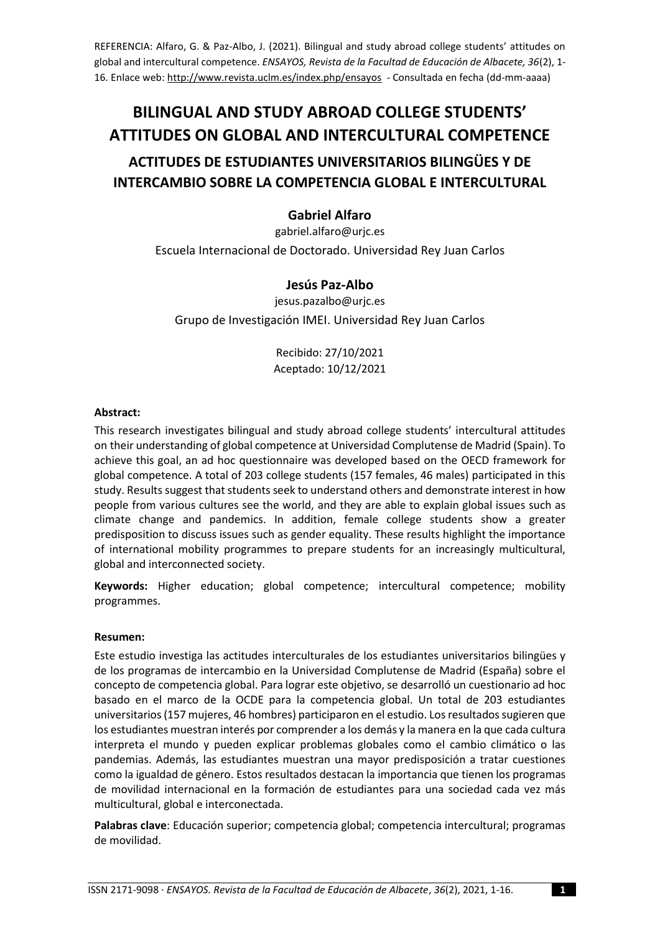REFERENCIA: Alfaro, G. & Paz-Albo, J. (2021). Bilingual and study abroad college students' attitudes on global and intercultural competence. *ENSAYOS, Revista de la Facultad de Educación de Albacete, 36*(2), 1- 16. Enlace web:<http://www.revista.uclm.es/index.php/ensayos>- Consultada en fecha (dd-mm-aaaa)

# **BILINGUAL AND STUDY ABROAD COLLEGE STUDENTS' ATTITUDES ON GLOBAL AND INTERCULTURAL COMPETENCE**

## **ACTITUDES DE ESTUDIANTES UNIVERSITARIOS BILINGÜES Y DE INTERCAMBIO SOBRE LA COMPETENCIA GLOBAL E INTERCULTURAL**

## **Gabriel Alfaro**

gabriel.alfaro@urjc.es Escuela Internacional de Doctorado. Universidad Rey Juan Carlos

## **Jesús Paz-Albo**

jesus.pazalbo@urjc.es Grupo de Investigación IMEI. Universidad Rey Juan Carlos

> Recibido: 27/10/2021 Aceptado: 10/12/2021

#### **Abstract:**

This research investigates bilingual and study abroad college students' intercultural attitudes on their understanding of global competence at Universidad Complutense de Madrid (Spain). To achieve this goal, an ad hoc questionnaire was developed based on the OECD framework for global competence. A total of 203 college students (157 females, 46 males) participated in this study. Results suggest that students seek to understand others and demonstrate interest in how people from various cultures see the world, and they are able to explain global issues such as climate change and pandemics. In addition, female college students show a greater predisposition to discuss issues such as gender equality. These results highlight the importance of international mobility programmes to prepare students for an increasingly multicultural, global and interconnected society.

**Keywords:** Higher education; global competence; intercultural competence; mobility programmes.

## **Resumen:**

Este estudio investiga las actitudes interculturales de los estudiantes universitarios bilingües y de los programas de intercambio en la Universidad Complutense de Madrid (España) sobre el concepto de competencia global. Para lograr este objetivo, se desarrolló un cuestionario ad hoc basado en el marco de la OCDE para la competencia global. Un total de 203 estudiantes universitarios (157 mujeres, 46 hombres) participaron en el estudio. Los resultados sugieren que los estudiantes muestran interés por comprender a los demás y la manera en la que cada cultura interpreta el mundo y pueden explicar problemas globales como el cambio climático o las pandemias. Además, las estudiantes muestran una mayor predisposición a tratar cuestiones como la igualdad de género. Estos resultados destacan la importancia que tienen los programas de movilidad internacional en la formación de estudiantes para una sociedad cada vez más multicultural, global e interconectada.

**Palabras clave**: Educación superior; competencia global; competencia intercultural; programas de movilidad.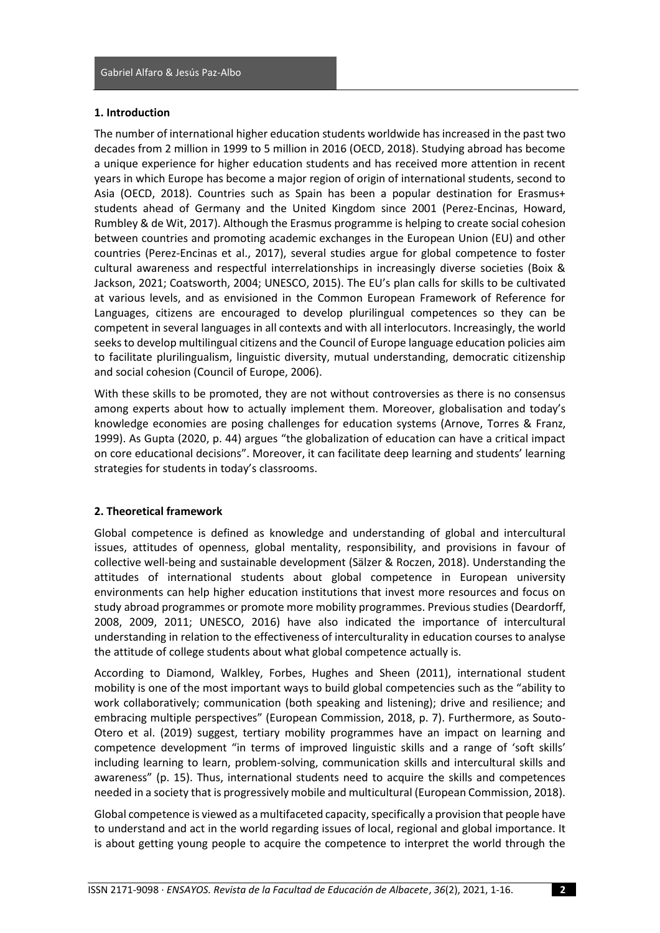#### **1. Introduction**

The number of international higher education students worldwide has increased in the past two decades from 2 million in 1999 to 5 million in 2016 (OECD, 2018). Studying abroad has become a unique experience for higher education students and has received more attention in recent years in which Europe has become a major region of origin of international students, second to Asia (OECD, 2018). Countries such as Spain has been a popular destination for Erasmus+ students ahead of Germany and the United Kingdom since 2001 (Perez-Encinas, Howard, Rumbley & de Wit, 2017). Although the Erasmus programme is helping to create social cohesion between countries and promoting academic exchanges in the European Union (EU) and other countries (Perez-Encinas et al., 2017), several studies argue for global competence to foster cultural awareness and respectful interrelationships in increasingly diverse societies (Boix & Jackson, 2021; Coatsworth, 2004; UNESCO, 2015). The EU's plan calls for skills to be cultivated at various levels, and as envisioned in the Common European Framework of Reference for Languages, citizens are encouraged to develop plurilingual competences so they can be competent in several languages in all contexts and with all interlocutors. Increasingly, the world seeks to develop multilingual citizens and the Council of Europe language education policies aim to facilitate plurilingualism, linguistic diversity, mutual understanding, democratic citizenship and social cohesion (Council of Europe, 2006).

With these skills to be promoted, they are not without controversies as there is no consensus among experts about how to actually implement them. Moreover, globalisation and today's knowledge economies are posing challenges for education systems (Arnove, Torres & Franz, 1999). As Gupta (2020, p. 44) argues "the globalization of education can have a critical impact on core educational decisions". Moreover, it can facilitate deep learning and students' learning strategies for students in today's classrooms.

#### **2. Theoretical framework**

Global competence is defined as knowledge and understanding of global and intercultural issues, attitudes of openness, global mentality, responsibility, and provisions in favour of collective well-being and sustainable development (Sälzer & Roczen, 2018). Understanding the attitudes of international students about global competence in European university environments can help higher education institutions that invest more resources and focus on study abroad programmes or promote more mobility programmes. Previous studies (Deardorff, 2008, 2009, 2011; UNESCO, 2016) have also indicated the importance of intercultural understanding in relation to the effectiveness of interculturality in education courses to analyse the attitude of college students about what global competence actually is.

According to Diamond, Walkley, Forbes, Hughes and Sheen (2011), international student mobility is one of the most important ways to build global competencies such as the "ability to work collaboratively; communication (both speaking and listening); drive and resilience; and embracing multiple perspectives" (European Commission, 2018, p. 7). Furthermore, as Souto-Otero et al. (2019) suggest, tertiary mobility programmes have an impact on learning and competence development "in terms of improved linguistic skills and a range of 'soft skills' including learning to learn, problem-solving, communication skills and intercultural skills and awareness" (p. 15). Thus, international students need to acquire the skills and competences needed in a society that is progressively mobile and multicultural (European Commission, 2018).

Global competence is viewed as a multifaceted capacity, specifically a provision that people have to understand and act in the world regarding issues of local, regional and global importance. It is about getting young people to acquire the competence to interpret the world through the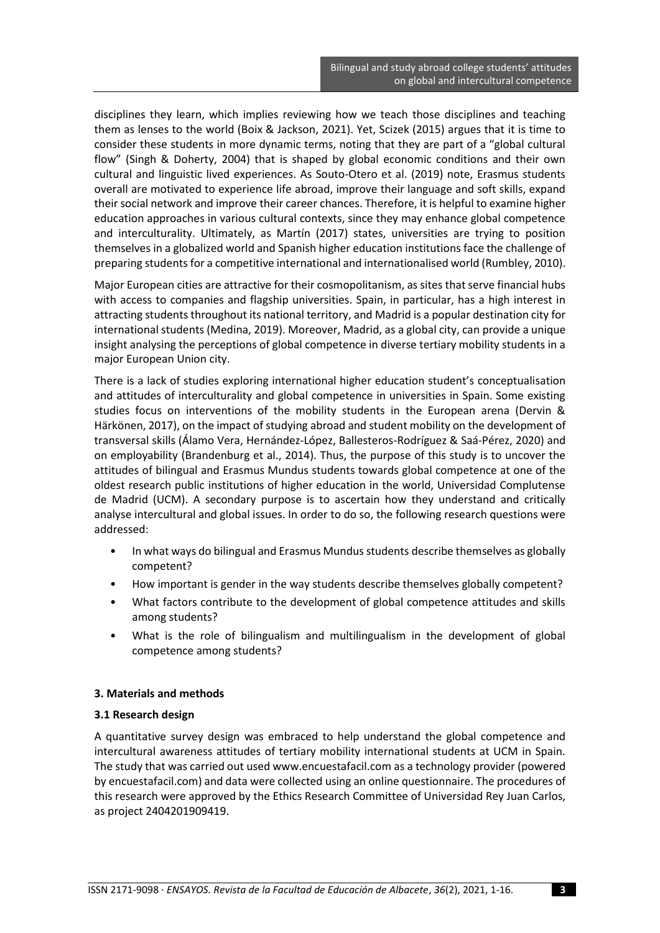disciplines they learn, which implies reviewing how we teach those disciplines and teaching them as lenses to the world (Boix & Jackson, 2021). Yet, Scizek (2015) argues that it is time to consider these students in more dynamic terms, noting that they are part of a "global cultural flow" (Singh & Doherty, 2004) that is shaped by global economic conditions and their own cultural and linguistic lived experiences. As Souto-Otero et al. (2019) note, Erasmus students overall are motivated to experience life abroad, improve their language and soft skills, expand their social network and improve their career chances. Therefore, it is helpful to examine higher education approaches in various cultural contexts, since they may enhance global competence and interculturality. Ultimately, as Martín (2017) states, universities are trying to position themselves in a globalized world and Spanish higher education institutions face the challenge of preparing students for a competitive international and internationalised world (Rumbley, 2010).

Major European cities are attractive for their cosmopolitanism, as sites that serve financial hubs with access to companies and flagship universities. Spain, in particular, has a high interest in attracting students throughout its national territory, and Madrid is a popular destination city for international students (Medina, 2019). Moreover, Madrid, as a global city, can provide a unique insight analysing the perceptions of global competence in diverse tertiary mobility students in a major European Union city.

There is a lack of studies exploring international higher education student's conceptualisation and attitudes of interculturality and global competence in universities in Spain. Some existing studies focus on interventions of the mobility students in the European arena (Dervin & Härkönen, 2017), on the impact of studying abroad and student mobility on the development of transversal skills (Álamo Vera, Hernández-López, Ballesteros-Rodríguez & Saá-Pérez, 2020) and on employability (Brandenburg et al., 2014). Thus, the purpose of this study is to uncover the attitudes of bilingual and Erasmus Mundus students towards global competence at one of the oldest research public institutions of higher education in the world, Universidad Complutense de Madrid (UCM). A secondary purpose is to ascertain how they understand and critically analyse intercultural and global issues. In order to do so, the following research questions were addressed:

- In what ways do bilingual and Erasmus Mundus students describe themselves as globally competent?
- How important is gender in the way students describe themselves globally competent?
- What factors contribute to the development of global competence attitudes and skills among students?
- What is the role of bilingualism and multilingualism in the development of global competence among students?

## **3. Materials and methods**

#### **3.1 Research design**

A quantitative survey design was embraced to help understand the global competence and intercultural awareness attitudes of tertiary mobility international students at UCM in Spain. The study that was carried out used www.encuestafacil.com as a technology provider (powered by encuestafacil.com) and data were collected using an online questionnaire. The procedures of this research were approved by the Ethics Research Committee of Universidad Rey Juan Carlos, as project 2404201909419.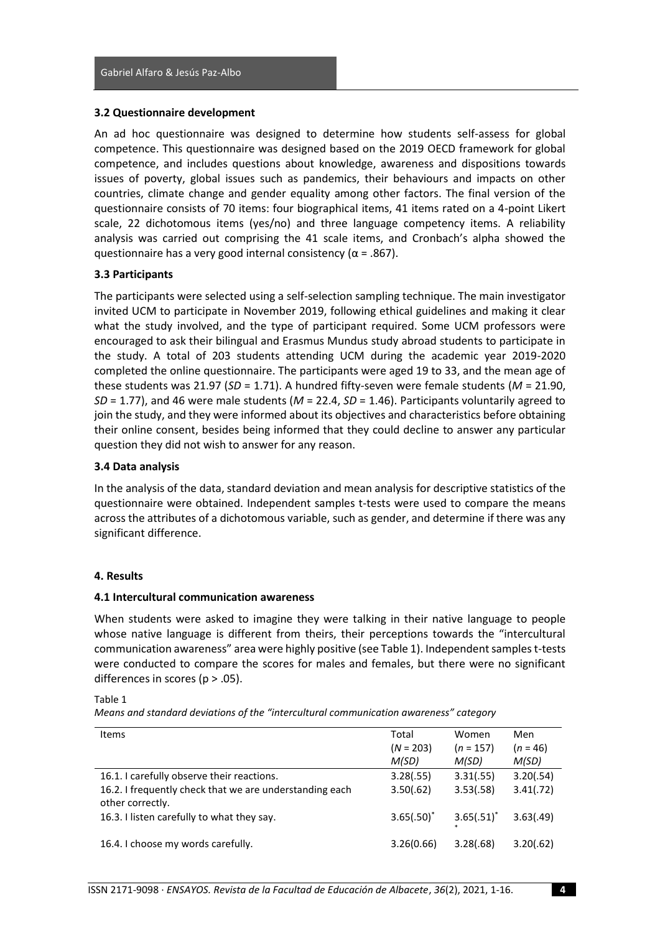#### **3.2 Questionnaire development**

An ad hoc questionnaire was designed to determine how students self-assess for global competence. This questionnaire was designed based on the 2019 OECD framework for global competence, and includes questions about knowledge, awareness and dispositions towards issues of poverty, global issues such as pandemics, their behaviours and impacts on other countries, climate change and gender equality among other factors. The final version of the questionnaire consists of 70 items: four biographical items, 41 items rated on a 4-point Likert scale, 22 dichotomous items (yes/no) and three language competency items. A reliability analysis was carried out comprising the 41 scale items, and Cronbach's alpha showed the questionnaire has a very good internal consistency ( $\alpha$  = .867).

#### **3.3 Participants**

The participants were selected using a self-selection sampling technique. The main investigator invited UCM to participate in November 2019, following ethical guidelines and making it clear what the study involved, and the type of participant required. Some UCM professors were encouraged to ask their bilingual and Erasmus Mundus study abroad students to participate in the study. A total of 203 students attending UCM during the academic year 2019-2020 completed the online questionnaire. The participants were aged 19 to 33, and the mean age of these students was 21.97 (*SD* = 1.71). A hundred fifty-seven were female students (*M* = 21.90, *SD* = 1.77), and 46 were male students (*M* = 22.4, *SD* = 1.46). Participants voluntarily agreed to join the study, and they were informed about its objectives and characteristics before obtaining their online consent, besides being informed that they could decline to answer any particular question they did not wish to answer for any reason.

#### **3.4 Data analysis**

In the analysis of the data, standard deviation and mean analysis for descriptive statistics of the questionnaire were obtained. Independent samples t-tests were used to compare the means across the attributes of a dichotomous variable, such as gender, and determine if there was any significant difference.

#### **4. Results**

#### **4.1 Intercultural communication awareness**

When students were asked to imagine they were talking in their native language to people whose native language is different from theirs, their perceptions towards the "intercultural communication awareness" area were highly positive (see Table 1). Independent samples t-tests were conducted to compare the scores for males and females, but there were no significant differences in scores ( $p > .05$ ).

Table 1

*Means and standard deviations of the "intercultural communication awareness" category*

| <b>Items</b>                                                                | Total<br>$(N = 203)$<br>M(SD) | Women<br>$(n = 157)$<br>M(SD) | Men<br>$(n = 46)$<br>M(SD) |
|-----------------------------------------------------------------------------|-------------------------------|-------------------------------|----------------------------|
| 16.1. I carefully observe their reactions.                                  | 3.28(.55)                     | 3.31(.55)                     | 3.20(.54)                  |
| 16.2. I frequently check that we are understanding each<br>other correctly. | 3.50(.62)                     | 3.53(.58)                     | 3.41(.72)                  |
| 16.3. I listen carefully to what they say.                                  | $3.65(.50)^*$                 | $3.65(.51)^*$                 | 3.63(.49)                  |
| 16.4. I choose my words carefully.                                          | 3.26(0.66)                    | 3.28(.68)                     | 3.20(.62)                  |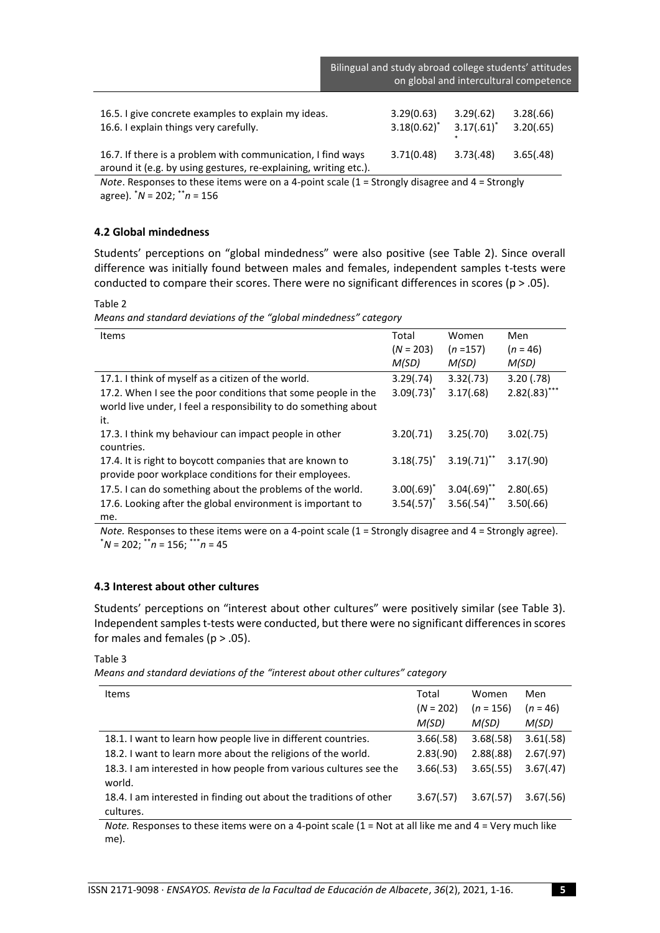|                                                                                                                                 | Bilingual and study abroad college students' attitudes<br>on global and intercultural competence |                            |                        |
|---------------------------------------------------------------------------------------------------------------------------------|--------------------------------------------------------------------------------------------------|----------------------------|------------------------|
| 16.5. I give concrete examples to explain my ideas.<br>16.6. I explain things very carefully.                                   | 3.29(0.63)<br>$3.18(0.62)^{*}$                                                                   | 3.29(.62)<br>$3.17(.61)^*$ | 3.28(.66)<br>3.20(.65) |
| 16.7. If there is a problem with communication, I find ways<br>around it (e.g. by using gestures, re-explaining, writing etc.). | 3.71(0.48)                                                                                       | 3.73(.48)                  | 3.65(.48)              |

*Note*. Responses to these items were on a 4-point scale (1 = Strongly disagree and 4 = Strongly agree). \**N* = 202; \*\**n* = 156

#### **4.2 Global mindedness**

Students' perceptions on "global mindedness" were also positive (see Table 2). Since overall difference was initially found between males and females, independent samples t-tests were conducted to compare their scores. There were no significant differences in scores ( $p > .05$ ).

Table 2

*Means and standard deviations of the "global mindedness" category*

| <b>Items</b>                                                    | Total           | Women          | Men             |
|-----------------------------------------------------------------|-----------------|----------------|-----------------|
|                                                                 | $(N = 203)$     | $(n = 157)$    | $(n = 46)$      |
|                                                                 | M(SD)           | M(SD)          | M(SD)           |
| 17.1. I think of myself as a citizen of the world.              | 3.29(.74)       | 3.32(.73)      | 3.20(0.78)      |
| 17.2. When I see the poor conditions that some people in the    | $3.09(.73)^*$   | 3.17(.68)      | $2.82(.83)$ *** |
| world live under, I feel a responsibility to do something about |                 |                |                 |
| it.                                                             |                 |                |                 |
| 17.3. I think my behaviour can impact people in other           | 3.20(.71)       | 3.25(.70)      | 3.02(.75)       |
| countries.                                                      |                 |                |                 |
| 17.4. It is right to boycott companies that are known to        | $3.18(.75)^*$   | $3.19(.71)$ ** | 3.17(.90)       |
| provide poor workplace conditions for their employees.          |                 |                |                 |
| 17.5. I can do something about the problems of the world.       | $3.00(.69)^{*}$ | $3.04(.69)$ ** | 2.80(.65)       |
| 17.6. Looking after the global environment is important to      | $3.54(.57)^*$   | $3.56(.54)$ ** | 3.50(.66)       |
| me.                                                             |                 |                |                 |

*Note.* Responses to these items were on a 4-point scale (1 = Strongly disagree and 4 = Strongly agree). \**N* = 202; \*\**n* = 156; \*\*\**n* = 45

#### **4.3 Interest about other cultures**

Students' perceptions on "interest about other cultures" were positively similar (see Table 3). Independent samples t-tests were conducted, but there were no significant differences in scores for males and females ( $p > .05$ ).

Table 3

*Means and standard deviations of the "interest about other cultures" category*

| <b>Items</b>                                                                    | Total<br>$(N = 202)$<br>M(SD) | Women<br>$(n = 156)$<br>M(SD) | Men<br>$(n = 46)$<br>M(SD) |
|---------------------------------------------------------------------------------|-------------------------------|-------------------------------|----------------------------|
| 18.1. I want to learn how people live in different countries.                   | 3.66(.58)                     | 3.68(.58)                     | 3.61(.58)                  |
| 18.2. I want to learn more about the religions of the world.                    | 2.83(.90)                     | 2.88(.88)                     | 2.67(.97)                  |
| 18.3. I am interested in how people from various cultures see the<br>world.     | 3.66(.53)                     | 3.65(.55)                     | 3.67(.47)                  |
| 18.4. I am interested in finding out about the traditions of other<br>cultures. | 3.67(.57)                     | 3.67(.57)                     | 3.67(.56)                  |

*Note.* Responses to these items were on a 4-point scale (1 = Not at all like me and 4 = Very much like me).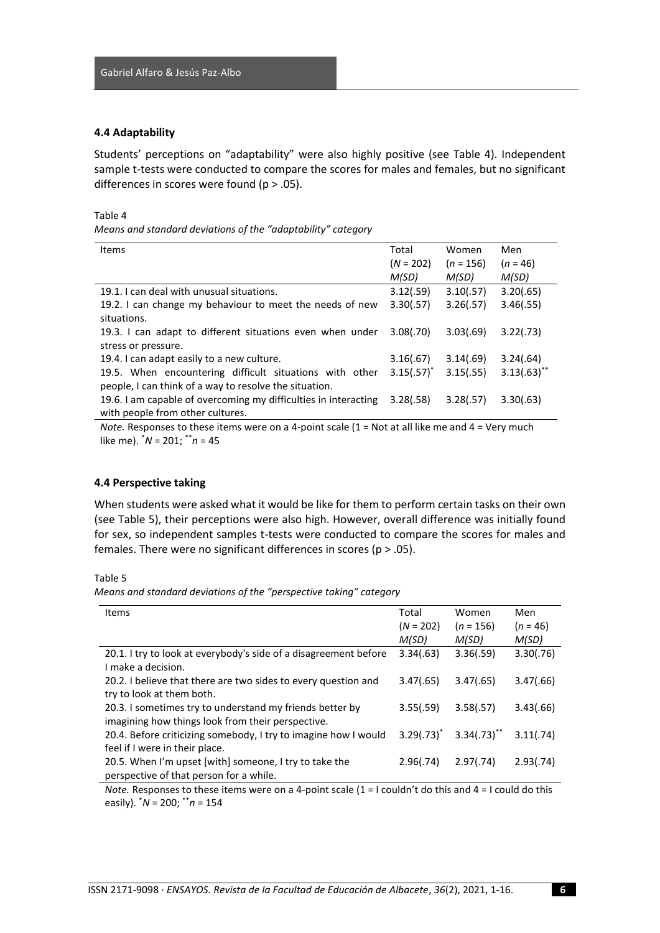#### **4.4 Adaptability**

Students' perceptions on "adaptability" were also highly positive (see Table 4). Independent sample t-tests were conducted to compare the scores for males and females, but no significant differences in scores were found (p > .05).

#### Table 4

*Means and standard deviations of the "adaptability" category*

| <b>Items</b>                                                    | Total         | Women       | Men            |
|-----------------------------------------------------------------|---------------|-------------|----------------|
|                                                                 | $(N = 202)$   | $(n = 156)$ | $(n = 46)$     |
|                                                                 | M(SD)         | M(SD)       | M(SD)          |
| 19.1. I can deal with unusual situations.                       | 3.12(.59)     | 3.10(.57)   | 3.20(.65)      |
| 19.2. I can change my behaviour to meet the needs of new        | 3.30(.57)     | 3.26(.57)   | 3.46(.55)      |
| situations.                                                     |               |             |                |
| 19.3. I can adapt to different situations even when under       | 3.08(.70)     | 3.03(.69)   | 3.22(.73)      |
| stress or pressure.                                             |               |             |                |
| 19.4. I can adapt easily to a new culture.                      | 3.16(.67)     | 3.14(.69)   | 3.24(.64)      |
| 19.5. When encountering difficult situations with other         | $3.15(.57)^*$ | 3.15(.55)   | $3.13(.63)$ ** |
| people, I can think of a way to resolve the situation.          |               |             |                |
| 19.6. I am capable of overcoming my difficulties in interacting | 3.28(.58)     | 3.28(.57)   | 3.30(.63)      |
| with people from other cultures.                                |               |             |                |

*Note.* Responses to these items were on a 4-point scale (1 = Not at all like me and 4 = Very much like me). \**N* = 201; \*\**n* = 45

#### **4.4 Perspective taking**

When students were asked what it would be like for them to perform certain tasks on their own (see Table 5), their perceptions were also high. However, overall difference was initially found for sex, so independent samples t-tests were conducted to compare the scores for males and females. There were no significant differences in scores ( $p > .05$ ).

Table 5

*Means and standard deviations of the "perspective taking" category*

| <b>Items</b>                                                     | Total         | Women            | Men        |
|------------------------------------------------------------------|---------------|------------------|------------|
|                                                                  | $(N = 202)$   | $(n = 156)$      | $(n = 46)$ |
|                                                                  | M(SD)         | M(SD)            | M(SD)      |
| 20.1. I try to look at everybody's side of a disagreement before | 3.34(.63)     | 3.36(.59)        | 3.30(.76)  |
| I make a decision.                                               |               |                  |            |
| 20.2. I believe that there are two sides to every question and   | 3.47(.65)     | 3.47(.65)        | 3.47(.66)  |
| try to look at them both.                                        |               |                  |            |
| 20.3. I sometimes try to understand my friends better by         | 3.55(.59)     | 3.58(.57)        | 3.43(.66)  |
| imagining how things look from their perspective.                |               |                  |            |
| 20.4. Before criticizing somebody, I try to imagine how I would  | $3.29(.73)^*$ | $3.34(.73)^{**}$ | 3.11(.74)  |
| feel if I were in their place.                                   |               |                  |            |
| 20.5. When I'm upset [with] someone, I try to take the           | 2.96(.74)     | 2.97(.74)        | 2.93(.74)  |
| perspective of that person for a while.                          |               |                  |            |

*Note.* Responses to these items were on a 4-point scale  $(1 = I \text{ couldn't do this and } 4 = I \text{ could do this})$ easily). \**N* = 200; \*\**n* = 154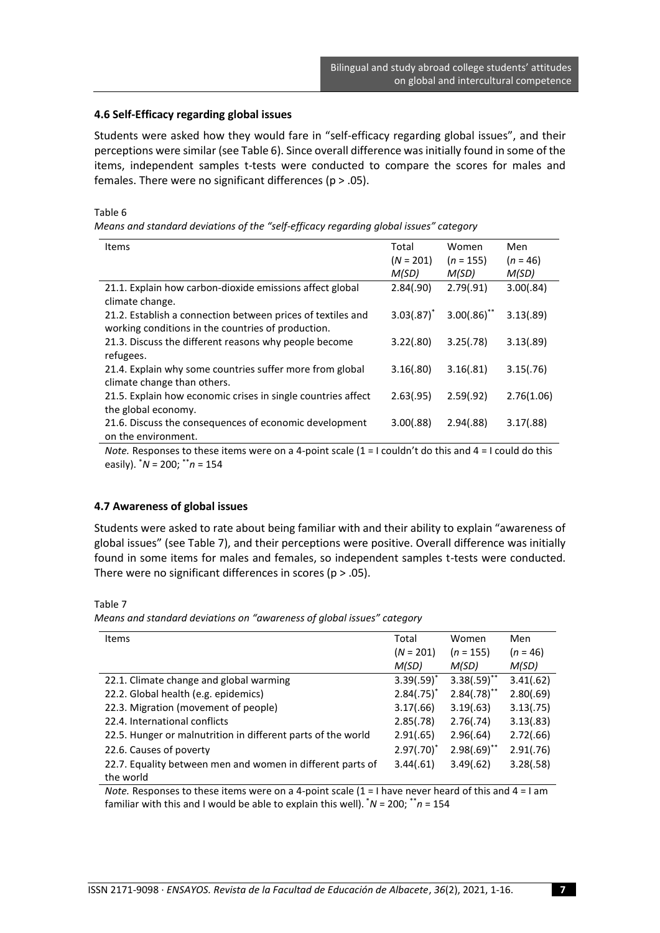#### **4.6 Self-Efficacy regarding global issues**

Students were asked how they would fare in "self-efficacy regarding global issues", and their perceptions were similar (see Table 6). Since overall difference was initially found in some of the items, independent samples t-tests were conducted to compare the scores for males and females. There were no significant differences (p > .05).

#### Table 6

*Means and standard deviations of the "self-efficacy regarding global issues" category*

| <b>Items</b>                                                 | Total           | Women          | Men        |
|--------------------------------------------------------------|-----------------|----------------|------------|
|                                                              | $(N = 201)$     | $(n = 155)$    | $(n = 46)$ |
|                                                              | M(SD)           | M(SD)          | M(SD)      |
| 21.1. Explain how carbon-dioxide emissions affect global     | 2.84(.90)       | 2.79(.91)      | 3.00(.84)  |
| climate change.                                              |                 |                |            |
| 21.2. Establish a connection between prices of textiles and  | $3.03(.87)^{*}$ | $3.00(.86)$ ** | 3.13(.89)  |
| working conditions in the countries of production.           |                 |                |            |
| 21.3. Discuss the different reasons why people become        | 3.22(.80)       | 3.25(.78)      | 3.13(.89)  |
| refugees.                                                    |                 |                |            |
| 21.4. Explain why some countries suffer more from global     | 3.16(.80)       | 3.16(.81)      | 3.15(.76)  |
| climate change than others.                                  |                 |                |            |
| 21.5. Explain how economic crises in single countries affect | 2.63(.95)       | 2.59(.92)      | 2.76(1.06) |
| the global economy.                                          |                 |                |            |
| 21.6. Discuss the consequences of economic development       | 3.00(.88)       | 2.94(.88)      | 3.17(.88)  |
| on the environment.                                          |                 |                |            |

*Note.* Responses to these items were on a 4-point scale (1 = I couldn't do this and 4 = I could do this easily). \**N* = 200; \*\**n* = 154

#### **4.7 Awareness of global issues**

Students were asked to rate about being familiar with and their ability to explain "awareness of global issues" (see Table 7), and their perceptions were positive. Overall difference was initially found in some items for males and females, so independent samples t-tests were conducted. There were no significant differences in scores ( $p > .05$ ).

#### Table 7

*Means and standard deviations on "awareness of global issues" category*

| <b>Items</b>                                                 | Total         | Women          | Men        |
|--------------------------------------------------------------|---------------|----------------|------------|
|                                                              | $(N = 201)$   | $(n = 155)$    | $(n = 46)$ |
|                                                              | M(SD)         | M(SD)          | M(SD)      |
| 22.1. Climate change and global warming                      | $3.39(.59)^*$ | $3.38(.59)$ ** | 3.41(.62)  |
| 22.2. Global health (e.g. epidemics)                         | $2.84(.75)^*$ | $2.84(.78)$ ** | 2.80(.69)  |
| 22.3. Migration (movement of people)                         | 3.17(.66)     | 3.19(.63)      | 3.13(.75)  |
| 22.4. International conflicts                                | 2.85(.78)     | 2.76(.74)      | 3.13(.83)  |
| 22.5. Hunger or malnutrition in different parts of the world | 2.91(.65)     | 2.96(.64)      | 2.72(.66)  |
| 22.6. Causes of poverty                                      | $2.97(.70)^*$ | $2.98(.69)$ ** | 2.91(.76)  |
| 22.7. Equality between men and women in different parts of   | 3.44(.61)     | 3.49(.62)      | 3.28(.58)  |
| the world                                                    |               |                |            |

*Note.* Responses to these items were on a 4-point scale (1 = I have never heard of this and 4 = I am familiar with this and I would be able to explain this well). \**N* = 200; \*\**n* = 154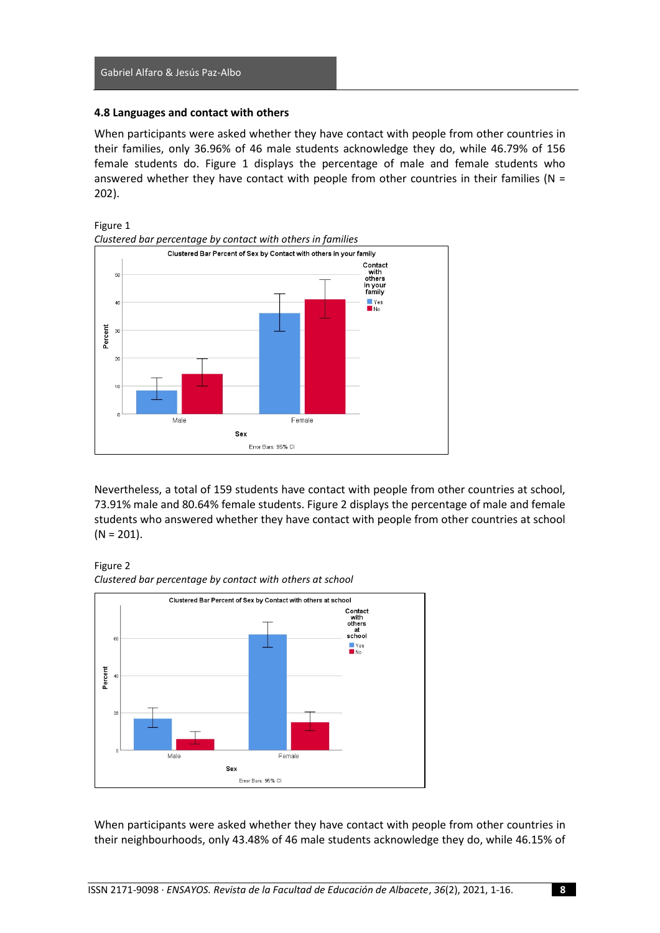#### **4.8 Languages and contact with others**

When participants were asked whether they have contact with people from other countries in their families, only 36.96% of 46 male students acknowledge they do, while 46.79% of 156 female students do. Figure 1 displays the percentage of male and female students who answered whether they have contact with people from other countries in their families ( $N =$ 202).





Nevertheless, a total of 159 students have contact with people from other countries at school, 73.91% male and 80.64% female students. Figure 2 displays the percentage of male and female students who answered whether they have contact with people from other countries at school  $(N = 201)$ .

Figure 2 *Clustered bar percentage by contact with others at school*



When participants were asked whether they have contact with people from other countries in their neighbourhoods, only 43.48% of 46 male students acknowledge they do, while 46.15% of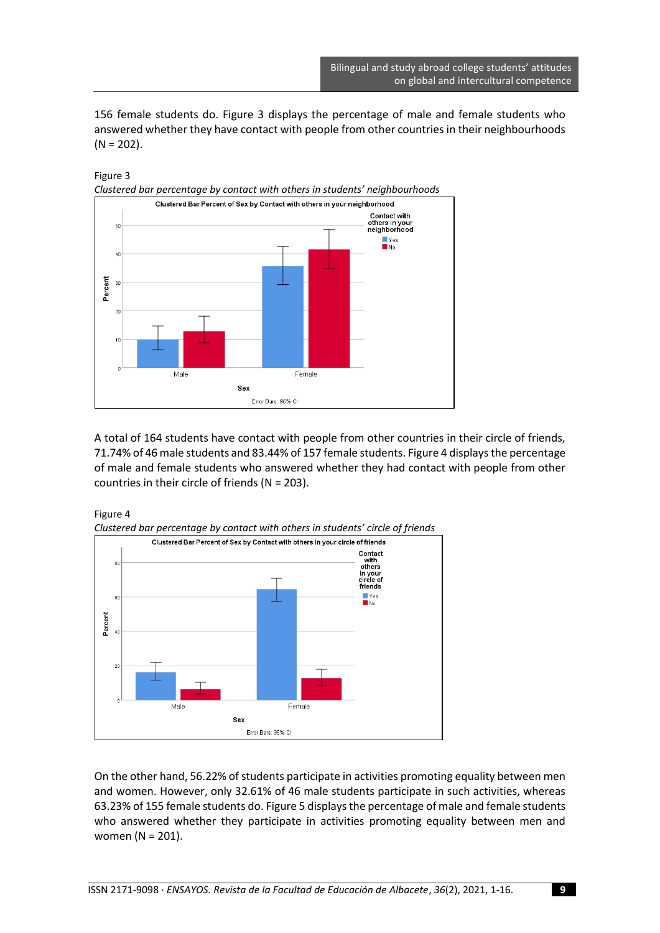156 female students do. Figure 3 displays the percentage of male and female students who answered whether they have contact with people from other countries in their neighbourhoods  $(N = 202)$ .



A total of 164 students have contact with people from other countries in their circle of friends, 71.74% of 46 male students and 83.44% of 157 female students. Figure 4 displaysthe percentage of male and female students who answered whether they had contact with people from other countries in their circle of friends (N = 203).



Figure 4

On the other hand, 56.22% of students participate in activities promoting equality between men and women. However, only 32.61% of 46 male students participate in such activities, whereas 63.23% of 155 female students do. Figure 5 displays the percentage of male and female students who answered whether they participate in activities promoting equality between men and women (N = 201).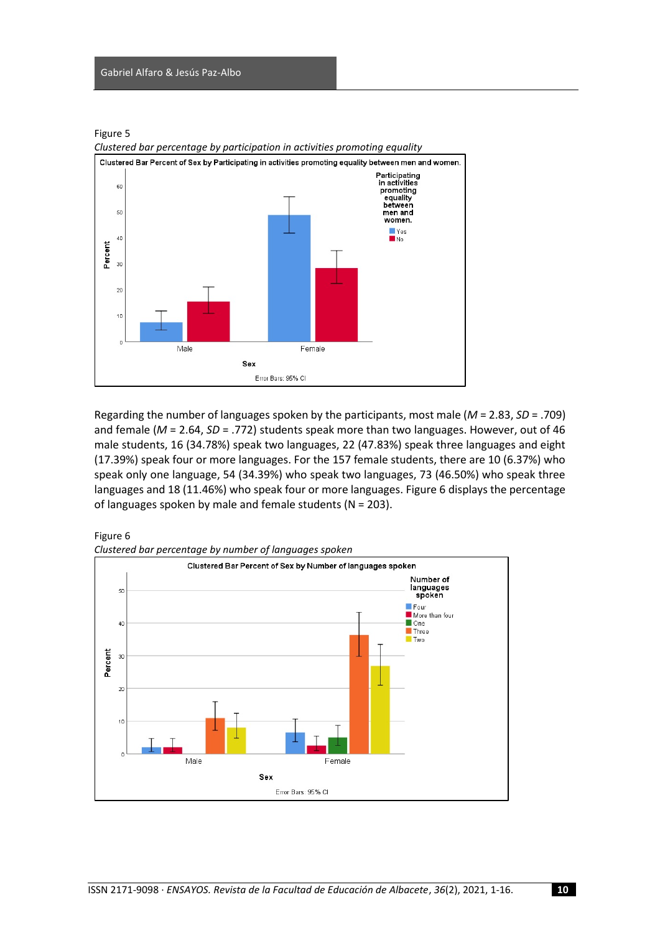#### Gabriel Alfaro & Jesús Paz-Albo





Regarding the number of languages spoken by the participants, most male (*M* = 2.83, *SD* = .709) and female (*M* = 2.64, *SD* = .772) students speak more than two languages. However, out of 46 male students, 16 (34.78%) speak two languages, 22 (47.83%) speak three languages and eight (17.39%) speak four or more languages. For the 157 female students, there are 10 (6.37%) who speak only one language, 54 (34.39%) who speak two languages, 73 (46.50%) who speak three languages and 18 (11.46%) who speak four or more languages. Figure 6 displays the percentage of languages spoken by male and female students (N = 203).



*Clustered bar percentage by participation in activities promoting equality*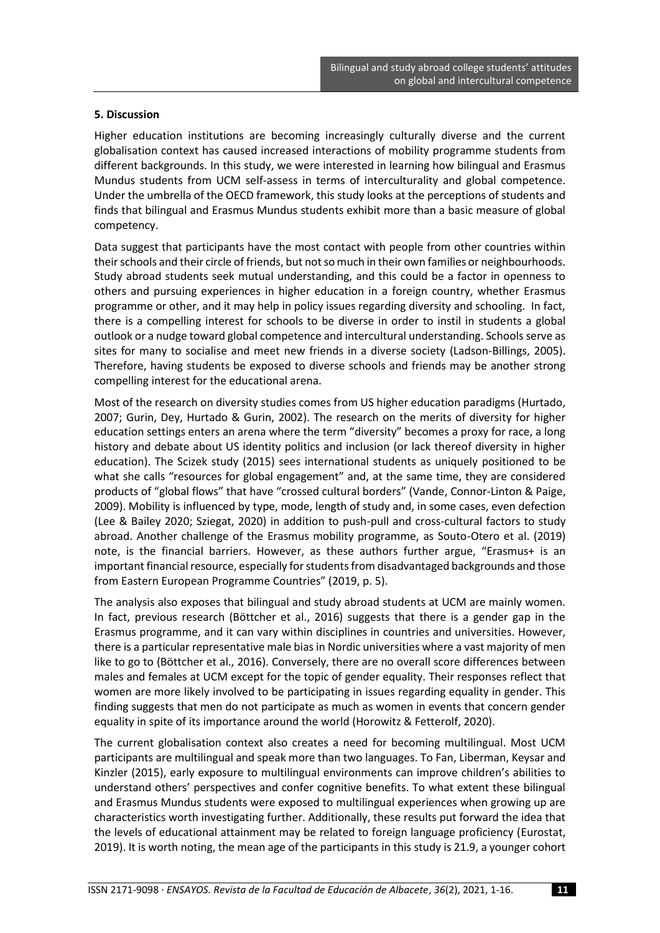#### **5. Discussion**

Higher education institutions are becoming increasingly culturally diverse and the current globalisation context has caused increased interactions of mobility programme students from different backgrounds. In this study, we were interested in learning how bilingual and Erasmus Mundus students from UCM self-assess in terms of interculturality and global competence. Under the umbrella of the OECD framework, this study looks at the perceptions of students and finds that bilingual and Erasmus Mundus students exhibit more than a basic measure of global competency.

Data suggest that participants have the most contact with people from other countries within their schools and their circle of friends, but not so much in their own families or neighbourhoods. Study abroad students seek mutual understanding, and this could be a factor in openness to others and pursuing experiences in higher education in a foreign country, whether Erasmus programme or other, and it may help in policy issues regarding diversity and schooling. In fact, there is a compelling interest for schools to be diverse in order to instil in students a global outlook or a nudge toward global competence and intercultural understanding. Schools serve as sites for many to socialise and meet new friends in a diverse society (Ladson-Billings, 2005). Therefore, having students be exposed to diverse schools and friends may be another strong compelling interest for the educational arena.

Most of the research on diversity studies comes from US higher education paradigms (Hurtado, 2007; Gurin, Dey, Hurtado & Gurin, 2002). The research on the merits of diversity for higher education settings enters an arena where the term "diversity" becomes a proxy for race, a long history and debate about US identity politics and inclusion (or lack thereof diversity in higher education). The Scizek study (2015) sees international students as uniquely positioned to be what she calls "resources for global engagement" and, at the same time, they are considered products of "global flows" that have "crossed cultural borders" (Vande, Connor-Linton & Paige, 2009). Mobility is influenced by type, mode, length of study and, in some cases, even defection (Lee & Bailey 2020; Sziegat, 2020) in addition to push-pull and cross-cultural factors to study abroad. Another challenge of the Erasmus mobility programme, as Souto-Otero et al. (2019) note, is the financial barriers. However, as these authors further argue, "Erasmus+ is an important financial resource, especially for students from disadvantaged backgrounds and those from Eastern European Programme Countries" (2019, p. 5).

The analysis also exposes that bilingual and study abroad students at UCM are mainly women. In fact, previous research (Böttcher et al., 2016) suggests that there is a gender gap in the Erasmus programme, and it can vary within disciplines in countries and universities. However, there is a particular representative male bias in Nordic universities where a vast majority of men like to go to (Böttcher et al., 2016). Conversely, there are no overall score differences between males and females at UCM except for the topic of gender equality. Their responses reflect that women are more likely involved to be participating in issues regarding equality in gender. This finding suggests that men do not participate as much as women in events that concern gender equality in spite of its importance around the world (Horowitz & Fetterolf, 2020).

The current globalisation context also creates a need for becoming multilingual. Most UCM participants are multilingual and speak more than two languages. To Fan, Liberman, Keysar and Kinzler (2015), early exposure to multilingual environments can improve children's abilities to understand others' perspectives and confer cognitive benefits. To what extent these bilingual and Erasmus Mundus students were exposed to multilingual experiences when growing up are characteristics worth investigating further. Additionally, these results put forward the idea that the levels of educational attainment may be related to foreign language proficiency (Eurostat, 2019). It is worth noting, the mean age of the participants in this study is 21.9, a younger cohort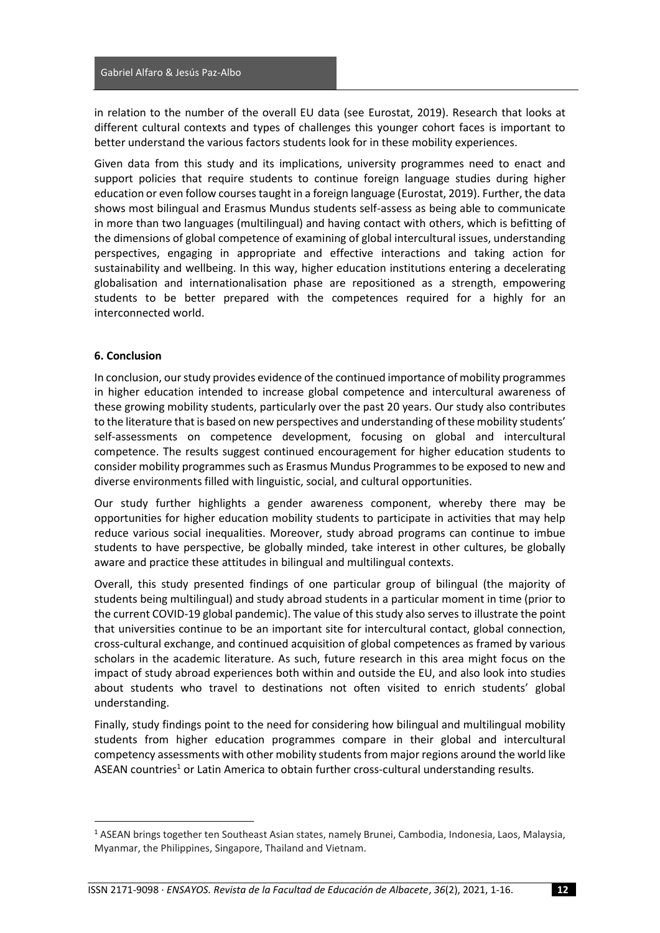in relation to the number of the overall EU data (see Eurostat, 2019). Research that looks at different cultural contexts and types of challenges this younger cohort faces is important to better understand the various factors students look for in these mobility experiences.

Given data from this study and its implications, university programmes need to enact and support policies that require students to continue foreign language studies during higher education or even follow courses taught in a foreign language (Eurostat, 2019). Further, the data shows most bilingual and Erasmus Mundus students self-assess as being able to communicate in more than two languages (multilingual) and having contact with others, which is befitting of the dimensions of global competence of examining of global intercultural issues, understanding perspectives, engaging in appropriate and effective interactions and taking action for sustainability and wellbeing. In this way, higher education institutions entering a decelerating globalisation and internationalisation phase are repositioned as a strength, empowering students to be better prepared with the competences required for a highly for an interconnected world.

#### **6. Conclusion**

In conclusion, our study provides evidence of the continued importance of mobility programmes in higher education intended to increase global competence and intercultural awareness of these growing mobility students, particularly over the past 20 years. Our study also contributes to the literature that is based on new perspectives and understanding of these mobility students' self-assessments on competence development, focusing on global and intercultural competence. The results suggest continued encouragement for higher education students to consider mobility programmes such as Erasmus Mundus Programmes to be exposed to new and diverse environments filled with linguistic, social, and cultural opportunities.

Our study further highlights a gender awareness component, whereby there may be opportunities for higher education mobility students to participate in activities that may help reduce various social inequalities. Moreover, study abroad programs can continue to imbue students to have perspective, be globally minded, take interest in other cultures, be globally aware and practice these attitudes in bilingual and multilingual contexts.

Overall, this study presented findings of one particular group of bilingual (the majority of students being multilingual) and study abroad students in a particular moment in time (prior to the current COVID-19 global pandemic). The value of this study also serves to illustrate the point that universities continue to be an important site for intercultural contact, global connection, cross-cultural exchange, and continued acquisition of global competences as framed by various scholars in the academic literature. As such, future research in this area might focus on the impact of study abroad experiences both within and outside the EU, and also look into studies about students who travel to destinations not often visited to enrich students' global understanding.

Finally, study findings point to the need for considering how bilingual and multilingual mobility students from higher education programmes compare in their global and intercultural competency assessments with other mobility students from major regions around the world like ASEAN countries<sup>1</sup> or Latin America to obtain further cross-cultural understanding results.

<sup>1</sup> ASEAN brings together ten Southeast Asian states, namely Brunei, Cambodia, Indonesia, Laos, Malaysia, Myanmar, the Philippines, Singapore, Thailand and Vietnam.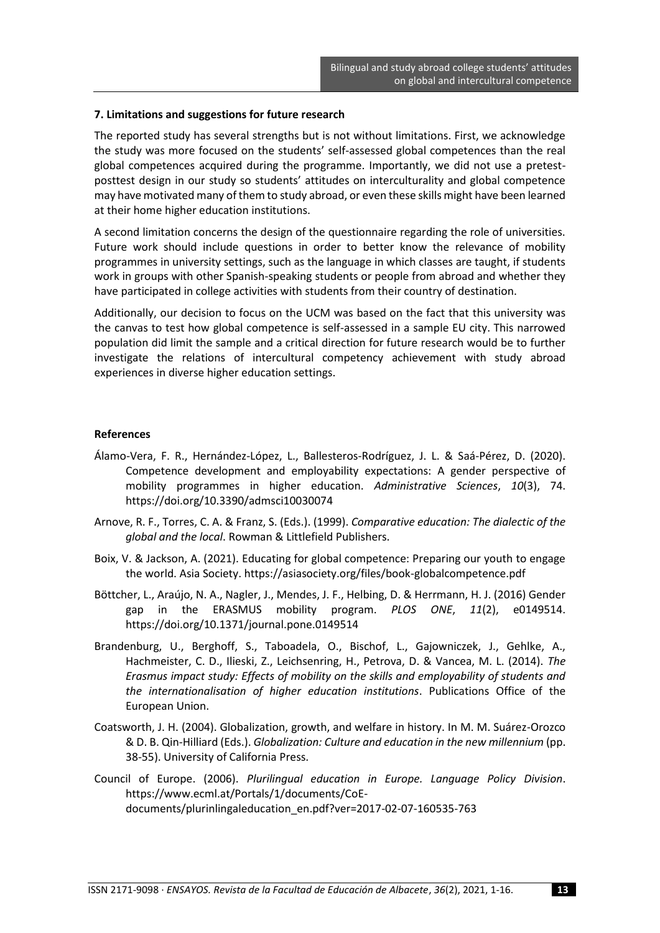#### **7. Limitations and suggestions for future research**

The reported study has several strengths but is not without limitations. First, we acknowledge the study was more focused on the students' self-assessed global competences than the real global competences acquired during the programme. Importantly, we did not use a pretestposttest design in our study so students' attitudes on interculturality and global competence may have motivated many of them to study abroad, or even these skills might have been learned at their home higher education institutions.

A second limitation concerns the design of the questionnaire regarding the role of universities. Future work should include questions in order to better know the relevance of mobility programmes in university settings, such as the language in which classes are taught, if students work in groups with other Spanish-speaking students or people from abroad and whether they have participated in college activities with students from their country of destination.

Additionally, our decision to focus on the UCM was based on the fact that this university was the canvas to test how global competence is self-assessed in a sample EU city. This narrowed population did limit the sample and a critical direction for future research would be to further investigate the relations of intercultural competency achievement with study abroad experiences in diverse higher education settings.

#### **References**

- Álamo-Vera, F. R., Hernández-López, L., Ballesteros-Rodríguez, J. L. & Saá-Pérez, D. (2020). Competence development and employability expectations: A gender perspective of mobility programmes in higher education. *Administrative Sciences*, *10*(3), 74. https://doi.org/10.3390/admsci10030074
- Arnove, R. F., Torres, C. A. & Franz, S. (Eds.). (1999). *Comparative education: The dialectic of the global and the local*. Rowman & Littlefield Publishers.
- Boix, V. & Jackson, A. (2021). Educating for global competence: Preparing our youth to engage the world. Asia Society. https://asiasociety.org/files/book-globalcompetence.pdf
- Böttcher, L., Araújo, N. A., Nagler, J., Mendes, J. F., Helbing, D. & Herrmann, H. J. (2016) Gender gap in the ERASMUS mobility program. *PLOS ONE*, *11*(2), e0149514. https://doi.org/10.1371/journal.pone.0149514
- Brandenburg, U., Berghoff, S., Taboadela, O., Bischof, L., Gajowniczek, J., Gehlke, A., Hachmeister, C. D., Ilieski, Z., Leichsenring, H., Petrova, D. & Vancea, M. L. (2014). *The Erasmus impact study: Effects of mobility on the skills and employability of students and the internationalisation of higher education institutions*. Publications Office of the European Union.
- Coatsworth, J. H. (2004). Globalization, growth, and welfare in history. In M. M. Suárez-Orozco & D. B. Qin-Hilliard (Eds.). *Globalization: Culture and education in the new millennium* (pp. 38-55). University of California Press.
- Council of Europe. (2006). *Plurilingual education in Europe. Language Policy Division*. https://www.ecml.at/Portals/1/documents/CoEdocuments/plurinlingaleducation\_en.pdf?ver=2017-02-07-160535-763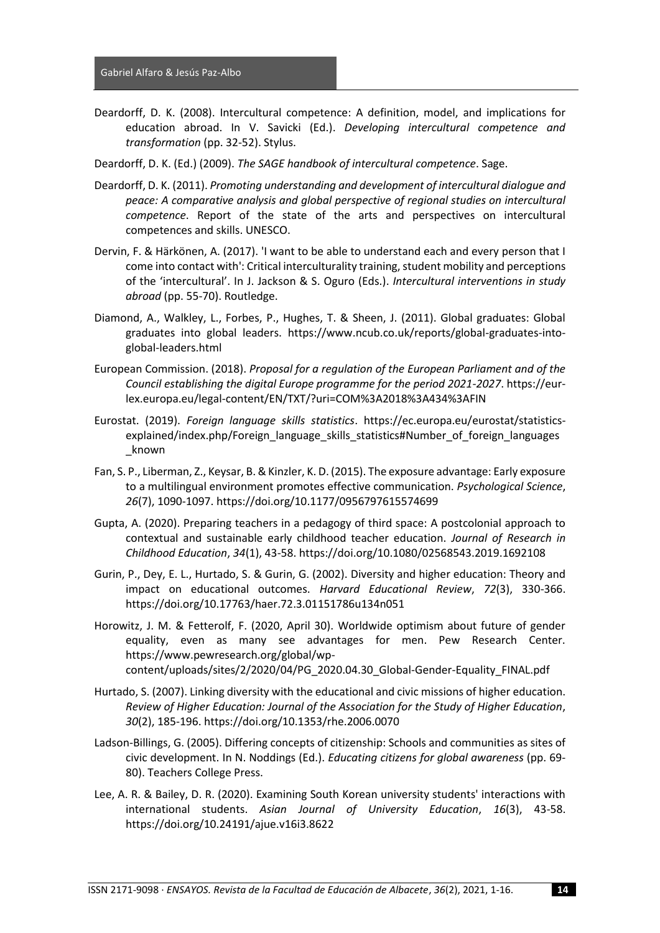- Deardorff, D. K. (2008). Intercultural competence: A definition, model, and implications for education abroad. In V. Savicki (Ed.). *Developing intercultural competence and transformation* (pp. 32-52). Stylus.
- Deardorff, D. K. (Ed.) (2009). *The SAGE handbook of intercultural competence*. Sage.
- Deardorff, D. K. (2011). *Promoting understanding and development of intercultural dialogue and peace: A comparative analysis and global perspective of regional studies on intercultural competence*. Report of the state of the arts and perspectives on intercultural competences and skills. UNESCO.
- Dervin, F. & Härkönen, A. (2017). 'I want to be able to understand each and every person that I come into contact with': Critical interculturality training, student mobility and perceptions of the 'intercultural'. In J. Jackson & S. Oguro (Eds.). *Intercultural interventions in study abroad* (pp. 55-70). Routledge.
- Diamond, A., Walkley, L., Forbes, P., Hughes, T. & Sheen, J. (2011). Global graduates: Global graduates into global leaders. https://www.ncub.co.uk/reports/global-graduates-intoglobal-leaders.html
- European Commission. (2018). *Proposal for a regulation of the European Parliament and of the Council establishing the digital Europe programme for the period 2021-2027*. https://eurlex.europa.eu/legal-content/EN/TXT/?uri=COM%3A2018%3A434%3AFIN
- Eurostat. (2019). *Foreign language skills statistics*. https://ec.europa.eu/eurostat/statisticsexplained/index.php/Foreign\_language\_skills\_statistics#Number\_of\_foreign\_languages \_known
- Fan, S. P., Liberman, Z., Keysar, B. & Kinzler, K. D. (2015). The exposure advantage: Early exposure to a multilingual environment promotes effective communication. *Psychological Science*, *26*(7), 1090-1097. https://doi.org/10.1177/0956797615574699
- Gupta, A. (2020). Preparing teachers in a pedagogy of third space: A postcolonial approach to contextual and sustainable early childhood teacher education. *Journal of Research in Childhood Education*, *34*(1), 43-58. https://doi.org/10.1080/02568543.2019.1692108
- Gurin, P., Dey, E. L., Hurtado, S. & Gurin, G. (2002). Diversity and higher education: Theory and impact on educational outcomes. *Harvard Educational Review*, *72*(3), 330-366. https://doi.org/10.17763/haer.72.3.01151786u134n051
- Horowitz, J. M. & Fetterolf, F. (2020, April 30). Worldwide optimism about future of gender equality, even as many see advantages for men. Pew Research Center. https://www.pewresearch.org/global/wpcontent/uploads/sites/2/2020/04/PG\_2020.04.30\_Global-Gender-Equality\_FINAL.pdf
- Hurtado, S. (2007). Linking diversity with the educational and civic missions of higher education. *Review of Higher Education: Journal of the Association for the Study of Higher Education*, *30*(2), 185-196. https://doi.org/10.1353/rhe.2006.0070
- Ladson-Billings, G. (2005). Differing concepts of citizenship: Schools and communities as sites of civic development. In N. Noddings (Ed.). *Educating citizens for global awareness* (pp. 69- 80). Teachers College Press.
- Lee, A. R. & Bailey, D. R. (2020). Examining South Korean university students' interactions with international students. *Asian Journal of University Education*, *16*(3), 43-58. https://doi.org/10.24191/ajue.v16i3.8622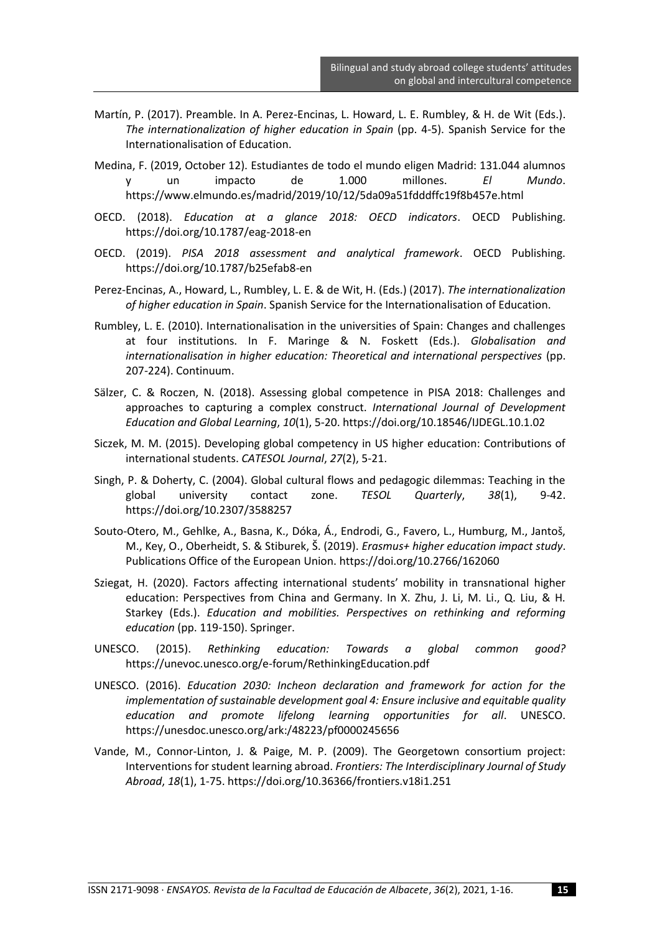- Martín, P. (2017). Preamble. In A. Perez-Encinas, L. Howard, L. E. Rumbley, & H. de Wit (Eds.). *The internationalization of higher education in Spain* (pp. 4-5). Spanish Service for the Internationalisation of Education.
- Medina, F. (2019, October 12). Estudiantes de todo el mundo eligen Madrid: 131.044 alumnos y un impacto de 1.000 millones. *El Mundo*. https://www.elmundo.es/madrid/2019/10/12/5da09a51fdddffc19f8b457e.html
- OECD. (2018). *Education at a glance 2018: OECD indicators*. OECD Publishing. https://doi.org/10.1787/eag-2018-en
- OECD. (2019). *PISA 2018 assessment and analytical framework*. OECD Publishing. https://doi.org/10.1787/b25efab8-en
- Perez-Encinas, A., Howard, L., Rumbley, L. E. & de Wit, H. (Eds.) (2017). *The internationalization of higher education in Spain*. Spanish Service for the Internationalisation of Education.
- Rumbley, L. E. (2010). Internationalisation in the universities of Spain: Changes and challenges at four institutions. In F. Maringe & N. Foskett (Eds.). *Globalisation and internationalisation in higher education: Theoretical and international perspectives* (pp. 207-224). Continuum.
- Sälzer, C. & Roczen, N. (2018). Assessing global competence in PISA 2018: Challenges and approaches to capturing a complex construct. *International Journal of Development Education and Global Learning*, *10*(1), 5-20. https://doi.org/10.18546/IJDEGL.10.1.02
- Siczek, M. M. (2015). Developing global competency in US higher education: Contributions of international students. *CATESOL Journal*, *27*(2), 5-21.
- Singh, P. & Doherty, C. (2004). Global cultural flows and pedagogic dilemmas: Teaching in the global university contact zone. *TESOL Quarterly*, *38*(1), 9-42. https://doi.org/10.2307/3588257
- Souto-Otero, M., Gehlke, A., Basna, K., Dóka, Á., Endrodi, G., Favero, L., Humburg, M., Jantoš, M., Key, O., Oberheidt, S. & Stiburek, Š. (2019). *Erasmus+ higher education impact study*. Publications Office of the European Union. https://doi.org/10.2766/162060
- Sziegat, H. (2020). Factors affecting international students' mobility in transnational higher education: Perspectives from China and Germany. In X. Zhu, J. Li, M. Li., Q. Liu, & H. Starkey (Eds.). *Education and mobilities. Perspectives on rethinking and reforming education* (pp. 119-150). Springer.
- UNESCO. (2015). *Rethinking education: Towards a global common good?* https://unevoc.unesco.org/e-forum/RethinkingEducation.pdf
- UNESCO. (2016). *Education 2030: Incheon declaration and framework for action for the implementation of sustainable development goal 4: Ensure inclusive and equitable quality education and promote lifelong learning opportunities for all*. UNESCO. https://unesdoc.unesco.org/ark:/48223/pf0000245656
- Vande, M., Connor-Linton, J. & Paige, M. P. (2009). The Georgetown consortium project: Interventions for student learning abroad. *Frontiers: The Interdisciplinary Journal of Study Abroad*, *18*(1), 1-75. https://doi.org/10.36366/frontiers.v18i1.251